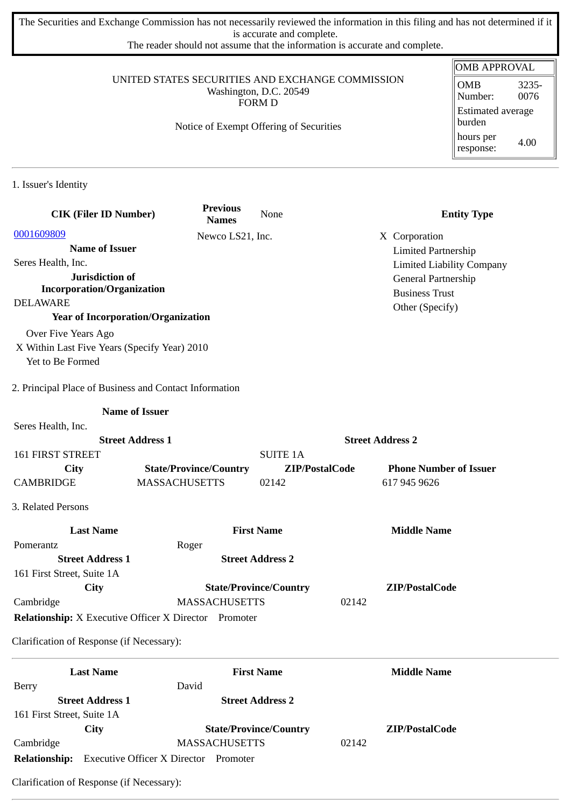The Securities and Exchange Commission has not necessarily reviewed the information in this filing and has not determined if it is accurate and complete.

The reader should not assume that the information is accurate and complete.

### UNITED STATES SECURITIES AND EXCHANGE COMMISSION Washington, D.C. 20549 FORM D

# Notice of Exempt Offering of Securities

| <b>OMB APPROVAL</b>                |               |  |  |
|------------------------------------|---------------|--|--|
| <b>OMB</b><br>Number:              | 3235-<br>0076 |  |  |
| <b>Estimated average</b><br>burden |               |  |  |
| hours per<br>response:             | 4.00          |  |  |

1. Issuer's Identity

| <b>CIK (Filer ID Number)</b>                                 | <b>Previous</b><br><b>Names</b> | None                          | <b>Entity Type</b>               |
|--------------------------------------------------------------|---------------------------------|-------------------------------|----------------------------------|
| 0001609809                                                   | Newco LS21, Inc.                |                               | X Corporation                    |
| <b>Name of Issuer</b>                                        |                                 |                               | <b>Limited Partnership</b>       |
| Seres Health, Inc.                                           |                                 |                               | <b>Limited Liability Company</b> |
| Jurisdiction of                                              |                                 |                               | General Partnership              |
| <b>Incorporation/Organization</b>                            |                                 |                               | <b>Business Trust</b>            |
| <b>DELAWARE</b>                                              |                                 |                               | Other (Specify)                  |
| <b>Year of Incorporation/Organization</b>                    |                                 |                               |                                  |
| Over Five Years Ago                                          |                                 |                               |                                  |
| X Within Last Five Years (Specify Year) 2010                 |                                 |                               |                                  |
| Yet to Be Formed                                             |                                 |                               |                                  |
| 2. Principal Place of Business and Contact Information       |                                 |                               |                                  |
| <b>Name of Issuer</b>                                        |                                 |                               |                                  |
| Seres Health, Inc.                                           |                                 |                               |                                  |
| <b>Street Address 1</b>                                      |                                 |                               | <b>Street Address 2</b>          |
| <b>161 FIRST STREET</b>                                      |                                 | <b>SUITE 1A</b>               |                                  |
| <b>City</b>                                                  | <b>State/Province/Country</b>   | ZIP/PostalCode                | <b>Phone Number of Issuer</b>    |
| CAMBRIDGE                                                    | <b>MASSACHUSETTS</b>            | 02142                         | 617 945 9626                     |
| 3. Related Persons                                           |                                 |                               |                                  |
| <b>Last Name</b>                                             |                                 | <b>First Name</b>             | <b>Middle Name</b>               |
| Pomerantz                                                    | Roger                           |                               |                                  |
| <b>Street Address 1</b>                                      |                                 | <b>Street Address 2</b>       |                                  |
| 161 First Street, Suite 1A                                   |                                 |                               |                                  |
| City                                                         |                                 | <b>State/Province/Country</b> | ZIP/PostalCode                   |
| Cambridge                                                    | <b>MASSACHUSETTS</b>            |                               | 02142                            |
| <b>Relationship:</b> X Executive Officer X Director Promoter |                                 |                               |                                  |
| Clarification of Response (if Necessary):                    |                                 |                               |                                  |
| <b>Last Name</b>                                             |                                 | <b>First Name</b>             | <b>Middle Name</b>               |
| <b>Berry</b>                                                 | David                           |                               |                                  |
| <b>Street Address 1</b>                                      |                                 | <b>Street Address 2</b>       |                                  |
| 161 First Street, Suite 1A                                   |                                 |                               |                                  |
| <b>City</b>                                                  |                                 | <b>State/Province/Country</b> | ZIP/PostalCode                   |
| Cambridge                                                    | <b>MASSACHUSETTS</b>            |                               | 02142                            |
| Relationship: Executive Officer X Director Promoter          |                                 |                               |                                  |

Clarification of Response (if Necessary):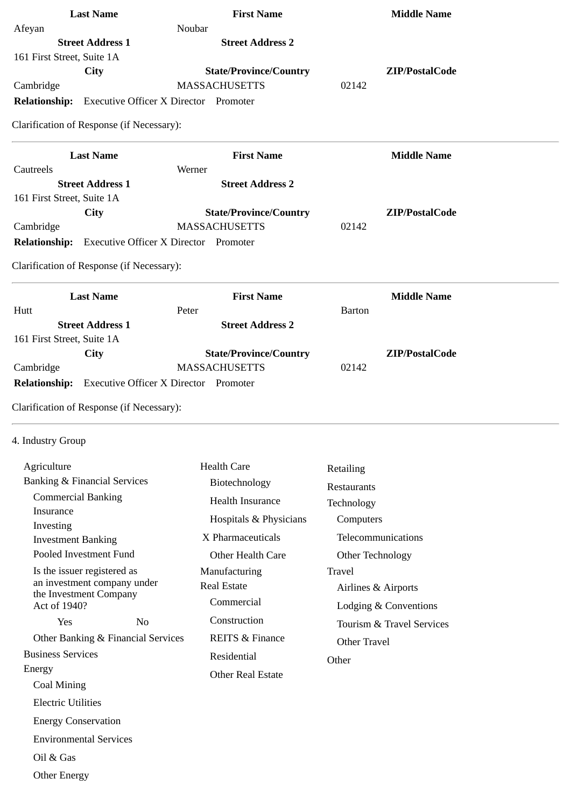|                            | <b>Last Name</b>                          | <b>First Name</b>                                          |               | <b>Middle Name</b> |
|----------------------------|-------------------------------------------|------------------------------------------------------------|---------------|--------------------|
| Afeyan                     |                                           | Noubar                                                     |               |                    |
|                            | <b>Street Address 1</b>                   | <b>Street Address 2</b>                                    |               |                    |
| 161 First Street, Suite 1A |                                           |                                                            |               |                    |
|                            | <b>City</b>                               | <b>State/Province/Country</b>                              |               | ZIP/PostalCode     |
| Cambridge                  |                                           | <b>MASSACHUSETTS</b>                                       | 02142         |                    |
|                            |                                           | <b>Relationship:</b> Executive Officer X Director Promoter |               |                    |
|                            | Clarification of Response (if Necessary): |                                                            |               |                    |
|                            | <b>Last Name</b>                          | <b>First Name</b>                                          |               | <b>Middle Name</b> |
| Cautreels                  |                                           | Werner                                                     |               |                    |
|                            | <b>Street Address 1</b>                   | <b>Street Address 2</b>                                    |               |                    |
| 161 First Street, Suite 1A |                                           |                                                            |               |                    |
|                            | City                                      | <b>State/Province/Country</b>                              |               | ZIP/PostalCode     |
| Cambridge                  |                                           | <b>MASSACHUSETTS</b>                                       | 02142         |                    |
|                            |                                           | Relationship: Executive Officer X Director Promoter        |               |                    |
|                            | Clarification of Response (if Necessary): |                                                            |               |                    |
|                            | <b>Last Name</b>                          | <b>First Name</b>                                          |               | <b>Middle Name</b> |
| Hutt                       |                                           | Peter                                                      | <b>Barton</b> |                    |
|                            | <b>Street Address 1</b>                   | <b>Street Address 2</b>                                    |               |                    |
| 161 First Street, Suite 1A |                                           |                                                            |               |                    |
|                            | <b>City</b>                               | <b>State/Province/Country</b>                              |               | ZIP/PostalCode     |
| Cambridge                  |                                           | <b>MASSACHUSETTS</b>                                       | 02142         |                    |
|                            |                                           | <b>Relationship:</b> Executive Officer X Director Promoter |               |                    |
|                            | Clarification of Response (if Necessary): |                                                            |               |                    |
| 4. Industry Group          |                                           |                                                            |               |                    |
| Agriculture                |                                           | <b>Health Care</b>                                         | Retailing     |                    |
|                            | <b>Banking &amp; Financial Services</b>   | Biotechnology                                              | Restaurants   |                    |
|                            | <b>Commercial Banking</b>                 | <b>Health Insurance</b>                                    |               |                    |
| Insurance                  |                                           |                                                            | Technology    |                    |
|                            |                                           | Hospitals & Physicians                                     | Computers     |                    |

 Investment Banking Pooled Investment Fund Is the issuer registered as an investment company under the Investment Company Act of 1940? Yes No Other Banking & Financial Services Business Services Energy Coal Mining Electric Utilities Energy Conservation Environmental Services Oil & Gas Other Energy X Pharmaceuticals Other Health Care Manufacturing Real Estate **Commercial**  Construction REITS & Finance Residential Other Real Estate Telecommunications Other Technology Travel Airlines & Airports Lodging & Conventions Tourism & Travel Services Other Travel **Other** 

Investing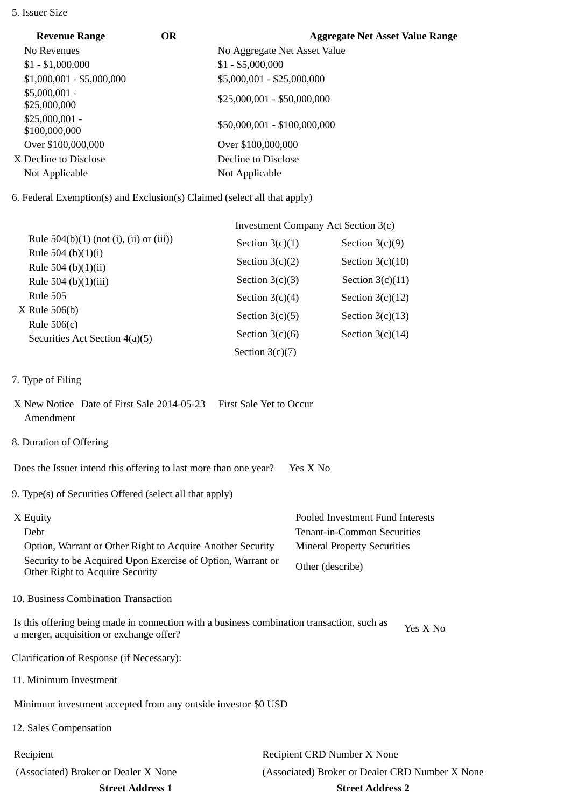#### 5. Issuer Size

| <b>Revenue Range</b>             | <b>OR</b> | <b>Aggregate Net Asset Value Range</b> |
|----------------------------------|-----------|----------------------------------------|
| No Revenues                      |           | No Aggregate Net Asset Value           |
| $$1 - $1,000,000$                |           | $$1 - $5,000,000$                      |
| $$1,000,001 - $5,000,000$        |           | \$5,000,001 - \$25,000,000             |
| $$5,000,001 -$<br>\$25,000,000   |           | $$25,000,001 - $50,000,000$            |
| $$25,000,001 -$<br>\$100,000,000 |           | \$50,000,001 - \$100,000,000           |
| Over \$100,000,000               |           | Over \$100,000,000                     |
| X Decline to Disclose            |           | Decline to Disclose                    |
| Not Applicable                   |           | Not Applicable                         |

6. Federal Exemption(s) and Exclusion(s) Claimed (select all that apply)

|                                                   | Investment Company Act Section 3(c) |                    |  |
|---------------------------------------------------|-------------------------------------|--------------------|--|
| Rule $504(b)(1)$ (not (i), (ii) or (iii))         | Section $3(c)(1)$                   | Section $3(c)(9)$  |  |
| Rule 504 (b) $(1)(i)$                             | Section $3(c)(2)$                   | Section $3(c)(10)$ |  |
| Rule 504 (b) $(1)(ii)$<br>Rule 504 (b) $(1)(iii)$ | Section $3(c)(3)$                   | Section $3(c)(11)$ |  |
| Rule 505                                          | Section $3(c)(4)$                   | Section $3(c)(12)$ |  |
| $X$ Rule 506(b)                                   | Section $3(c)(5)$                   | Section $3(c)(13)$ |  |
| Rule $506(c)$<br>Securities Act Section 4(a)(5)   | Section $3(c)(6)$                   | Section $3(c)(14)$ |  |
|                                                   | Section $3(c)(7)$                   |                    |  |

- 7. Type of Filing
- X New Notice Date of First Sale 2014-05-23 First Sale Yet to Occur Amendment
- 8. Duration of Offering

Does the Issuer intend this offering to last more than one year? Yes X No

9. Type(s) of Securities Offered (select all that apply)

| X Equity                                                                                       | Pooled Investment Fund Interests   |
|------------------------------------------------------------------------------------------------|------------------------------------|
| Debt                                                                                           | Tenant-in-Common Securities        |
| Option, Warrant or Other Right to Acquire Another Security                                     | <b>Mineral Property Securities</b> |
| Security to be Acquired Upon Exercise of Option, Warrant or<br>Other Right to Acquire Security | Other (describe)                   |

10. Business Combination Transaction

Is this offering being made in connection with a business combination transaction, such as is this oriening being made in connection with a business combination transaction, such as  $Y$ es X No a merger, acquisition or exchange offer?

Clarification of Response (if Necessary):

11. Minimum Investment

Minimum investment accepted from any outside investor \$0 USD

12. Sales Compensation

Recipient Recipient CRD Number X None (Associated) Broker or Dealer X None (Associated) Broker or Dealer CRD Number X None **Street Address 1 Street Address 2**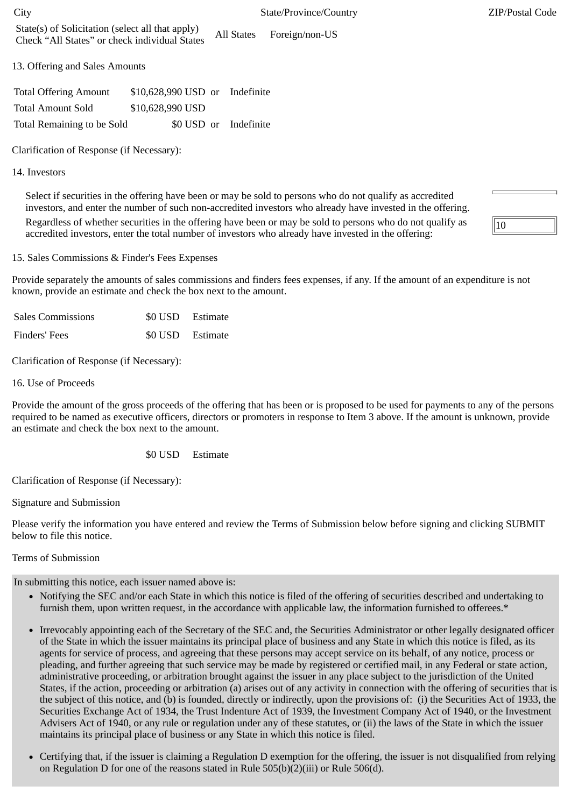| <b>Total Offering Amount</b> | \$10,628,990 USD or Indefinite |                       |
|------------------------------|--------------------------------|-----------------------|
| <b>Total Amount Sold</b>     | \$10,628,990 USD               |                       |
| Total Remaining to be Sold   |                                | \$0 USD or Indefinite |

Clarification of Response (if Necessary):

## 14. Investors

Select if securities in the offering have been or may be sold to persons who do not qualify as accredited investors, and enter the number of such non-accredited investors who already have invested in the offering.

Regardless of whether securities in the offering have been or may be sold to persons who do not qualify as accredited investors, enter the total number of investors who already have invested in the offering:

15. Sales Commissions & Finder's Fees Expenses

Provide separately the amounts of sales commissions and finders fees expenses, if any. If the amount of an expenditure is not known, provide an estimate and check the box next to the amount.

| <b>Sales Commissions</b> | \$0 USD Estimate |
|--------------------------|------------------|
| Finders' Fees            | \$0 USD Estimate |

Clarification of Response (if Necessary):

16. Use of Proceeds

Provide the amount of the gross proceeds of the offering that has been or is proposed to be used for payments to any of the persons required to be named as executive officers, directors or promoters in response to Item 3 above. If the amount is unknown, provide an estimate and check the box next to the amount.

\$0 USD Estimate

Clarification of Response (if Necessary):

Signature and Submission

Please verify the information you have entered and review the Terms of Submission below before signing and clicking SUBMIT below to file this notice.

## Terms of Submission

In submitting this notice, each issuer named above is:

- Notifying the SEC and/or each State in which this notice is filed of the offering of securities described and undertaking to furnish them, upon written request, in the accordance with applicable law, the information furnished to offerees.\*
- Irrevocably appointing each of the Secretary of the SEC and, the Securities Administrator or other legally designated officer of the State in which the issuer maintains its principal place of business and any State in which this notice is filed, as its agents for service of process, and agreeing that these persons may accept service on its behalf, of any notice, process or pleading, and further agreeing that such service may be made by registered or certified mail, in any Federal or state action, administrative proceeding, or arbitration brought against the issuer in any place subject to the jurisdiction of the United States, if the action, proceeding or arbitration (a) arises out of any activity in connection with the offering of securities that is the subject of this notice, and (b) is founded, directly or indirectly, upon the provisions of: (i) the Securities Act of 1933, the Securities Exchange Act of 1934, the Trust Indenture Act of 1939, the Investment Company Act of 1940, or the Investment Advisers Act of 1940, or any rule or regulation under any of these statutes, or (ii) the laws of the State in which the issuer maintains its principal place of business or any State in which this notice is filed.
- Certifying that, if the issuer is claiming a Regulation D exemption for the offering, the issuer is not disqualified from relying on Regulation D for one of the reasons stated in Rule 505(b)(2)(iii) or Rule 506(d).

 $\overline{10}$